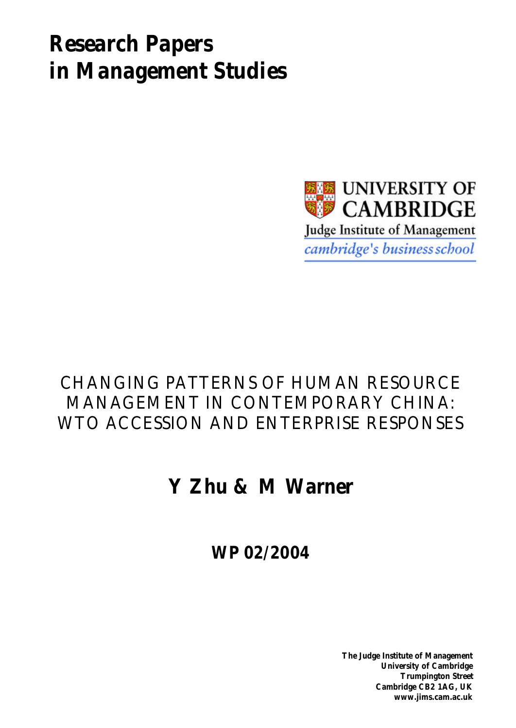# *Research Papers in Management Studies*



# CHANGING PATTERNS OF HUMAN RESOURCE MANAGEMENT IN CONTEMPORARY CHINA: WTO ACCESSION AND ENTERPRISE RESPONSES

# **Y Zhu & M Warner**

**WP 02/2004**

**The Judge Institute of Management University of Cambridge Trumpington Street Cambridge CB2 1AG, UK www.jims.cam.ac.uk**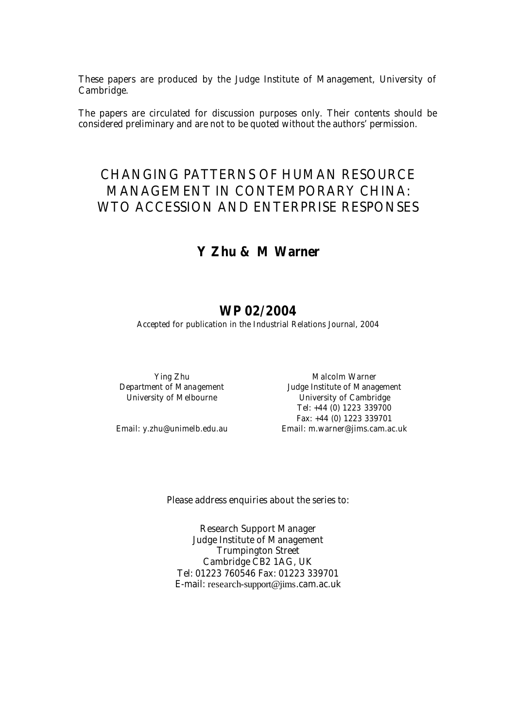These papers are produced by the Judge Institute of Management, University of Cambridge.

The papers are circulated for discussion purposes only. Their contents should be considered preliminary and are not to be quoted without the authors' permission.

## CHANGING PATTERNS OF HUMAN RESOURCE MANAGEMENT IN CONTEMPORARY CHINA: WTO ACCESSION AND ENTERPRISE RESPONSES

## **Y Zhu & M Warner**

### **WP 02/2004**

Accepted for publication in the *Industrial Relations Journal, 2004*

Ying Zhu Malcolm Warner Department of Management **Soute Access 15 and 1** Judge Institute of Management University of Melbourne **Combing the University of Cambridge** Tel: +44 (0) 1223 339700 Fax: +44 (0) 1223 339701 Email: y.zhu@unimelb.edu.au Email: m.warner@jims.cam.ac.uk

Please address enquiries about the series to:

Research Support Manager Judge Institute of Management Trumpington Street Cambridge CB2 1AG, UK Tel: 01223 760546 Fax: 01223 339701 E-mail: research-support@jims.cam.ac.uk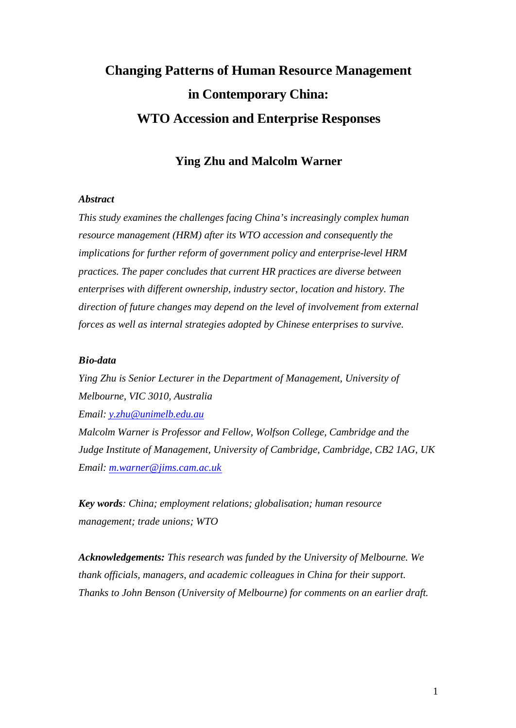# **Changing Patterns of Human Resource Management in Contemporary China: WTO Accession and Enterprise Responses**

### **Ying Zhu and Malcolm Warner**

#### *Abstract*

*This study examines the challenges facing China's increasingly complex human resource management (HRM) after its WTO accession and consequently the implications for further reform of government policy and enterprise-level HRM practices. The paper concludes that current HR practices are diverse between enterprises with different ownership, industry sector, location and history. The direction of future changes may depend on the level of involvement from external forces as well as internal strategies adopted by Chinese enterprises to survive.*

#### *Bio-data*

*Ying Zhu is Senior Lecturer in the Department of Management, University of Melbourne, VIC 3010, Australia Email: y.zhu@unimelb.edu.au*

*Malcolm Warner is Professor and Fellow, Wolfson College, Cambridge and the Judge Institute of Management, University of Cambridge, Cambridge, CB2 1AG, UK Email: m.warner@jims.cam.ac.uk*

*Key words: China; employment relations; globalisation; human resource management; trade unions; WTO*

*Acknowledgements: This research was funded by the University of Melbourne. We thank officials, managers, and academic colleagues in China for their support. Thanks to John Benson (University of Melbourne) for comments on an earlier draft.*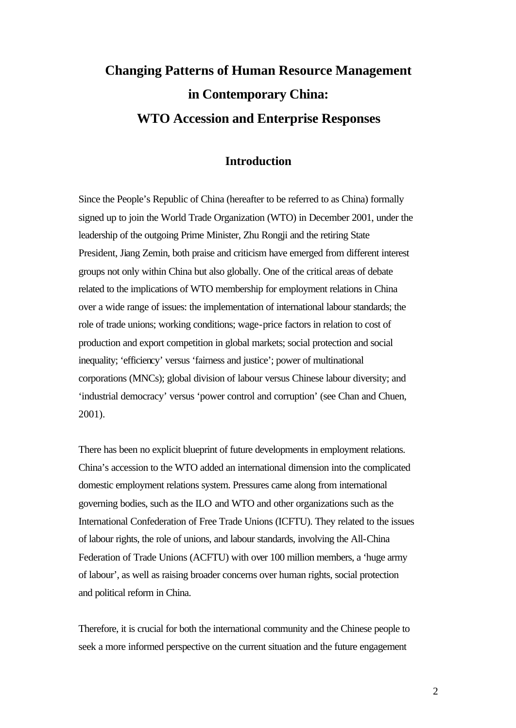## **Changing Patterns of Human Resource Management in Contemporary China: WTO Accession and Enterprise Responses**

#### **Introduction**

Since the People's Republic of China (hereafter to be referred to as China) formally signed up to join the World Trade Organization (WTO) in December 2001, under the leadership of the outgoing Prime Minister, Zhu Rongji and the retiring State President, Jiang Zemin, both praise and criticism have emerged from different interest groups not only within China but also globally. One of the critical areas of debate related to the implications of WTO membership for employment relations in China over a wide range of issues: the implementation of international labour standards; the role of trade unions; working conditions; wage-price factors in relation to cost of production and export competition in global markets; social protection and social inequality; 'efficiency' versus 'fairness and justice'; power of multinational corporations (MNCs); global division of labour versus Chinese labour diversity; and 'industrial democracy' versus 'power control and corruption' (see Chan and Chuen, 2001).

There has been no explicit blueprint of future developments in employment relations. China's accession to the WTO added an international dimension into the complicated domestic employment relations system. Pressures came along from international governing bodies, such as the ILO and WTO and other organizations such as the International Confederation of Free Trade Unions (ICFTU). They related to the issues of labour rights, the role of unions, and labour standards, involving the All-China Federation of Trade Unions (ACFTU) with over 100 million members, a 'huge army of labour', as well as raising broader concerns over human rights, social protection and political reform in China.

Therefore, it is crucial for both the international community and the Chinese people to seek a more informed perspective on the current situation and the future engagement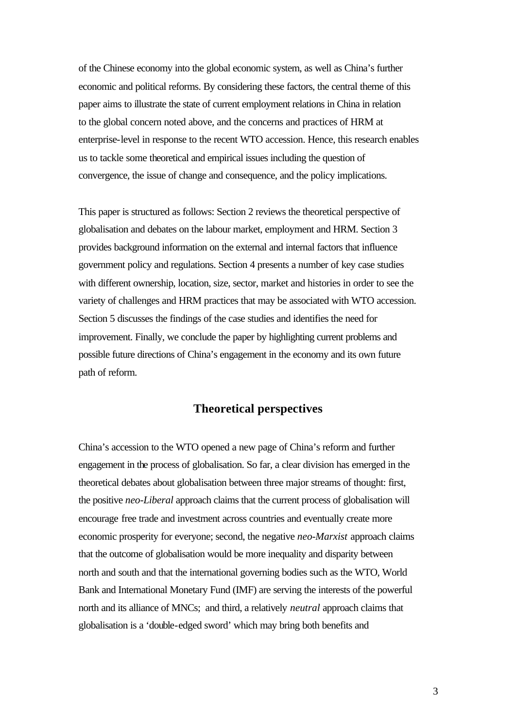of the Chinese economy into the global economic system, as well as China's further economic and political reforms. By considering these factors, the central theme of this paper aims to illustrate the state of current employment relations in China in relation to the global concern noted above, and the concerns and practices of HRM at enterprise-level in response to the recent WTO accession. Hence, this research enables us to tackle some theoretical and empirical issues including the question of convergence, the issue of change and consequence, and the policy implications.

This paper is structured as follows: Section 2 reviews the theoretical perspective of globalisation and debates on the labour market, employment and HRM. Section 3 provides background information on the external and internal factors that influence government policy and regulations. Section 4 presents a number of key case studies with different ownership, location, size, sector, market and histories in order to see the variety of challenges and HRM practices that may be associated with WTO accession. Section 5 discusses the findings of the case studies and identifies the need for improvement. Finally, we conclude the paper by highlighting current problems and possible future directions of China's engagement in the economy and its own future path of reform.

#### **Theoretical perspectives**

China's accession to the WTO opened a new page of China's reform and further engagement in the process of globalisation. So far, a clear division has emerged in the theoretical debates about globalisation between three major streams of thought: first, the positive *neo-Liberal* approach claims that the current process of globalisation will encourage free trade and investment across countries and eventually create more economic prosperity for everyone; second, the negative *neo-Marxist* approach claims that the outcome of globalisation would be more inequality and disparity between north and south and that the international governing bodies such as the WTO, World Bank and International Monetary Fund (IMF) are serving the interests of the powerful north and its alliance of MNCs; and third, a relatively *neutral* approach claims that globalisation is a 'double-edged sword' which may bring both benefits and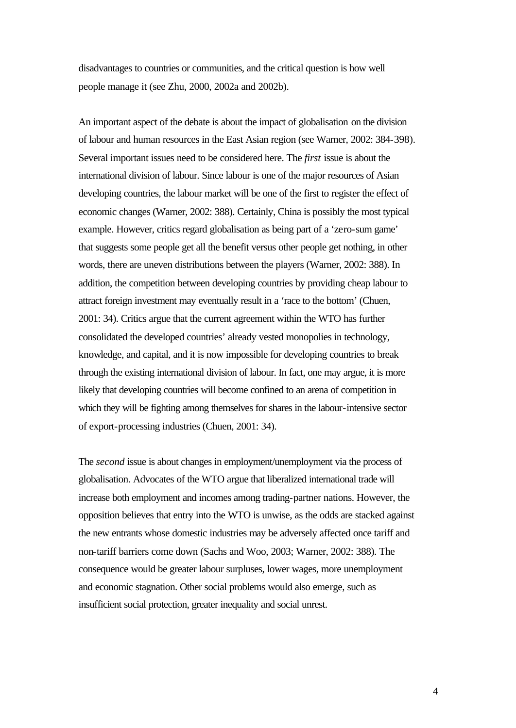disadvantages to countries or communities, and the critical question is how well people manage it (see Zhu, 2000, 2002a and 2002b).

An important aspect of the debate is about the impact of globalisation on the division of labour and human resources in the East Asian region (see Warner, 2002: 384-398). Several important issues need to be considered here. The *first* issue is about the international division of labour. Since labour is one of the major resources of Asian developing countries, the labour market will be one of the first to register the effect of economic changes (Warner, 2002: 388). Certainly, China is possibly the most typical example. However, critics regard globalisation as being part of a 'zero-sum game' that suggests some people get all the benefit versus other people get nothing, in other words, there are uneven distributions between the players (Warner, 2002: 388). In addition, the competition between developing countries by providing cheap labour to attract foreign investment may eventually result in a 'race to the bottom' (Chuen, 2001: 34). Critics argue that the current agreement within the WTO has further consolidated the developed countries' already vested monopolies in technology, knowledge, and capital, and it is now impossible for developing countries to break through the existing international division of labour. In fact, one may argue, it is more likely that developing countries will become confined to an arena of competition in which they will be fighting among themselves for shares in the labour-intensive sector of export-processing industries (Chuen, 2001: 34).

The *second* issue is about changes in employment/unemployment via the process of globalisation. Advocates of the WTO argue that liberalized international trade will increase both employment and incomes among trading-partner nations. However, the opposition believes that entry into the WTO is unwise, as the odds are stacked against the new entrants whose domestic industries may be adversely affected once tariff and non-tariff barriers come down (Sachs and Woo, 2003; Warner, 2002: 388). The consequence would be greater labour surpluses, lower wages, more unemployment and economic stagnation. Other social problems would also emerge, such as insufficient social protection, greater inequality and social unrest.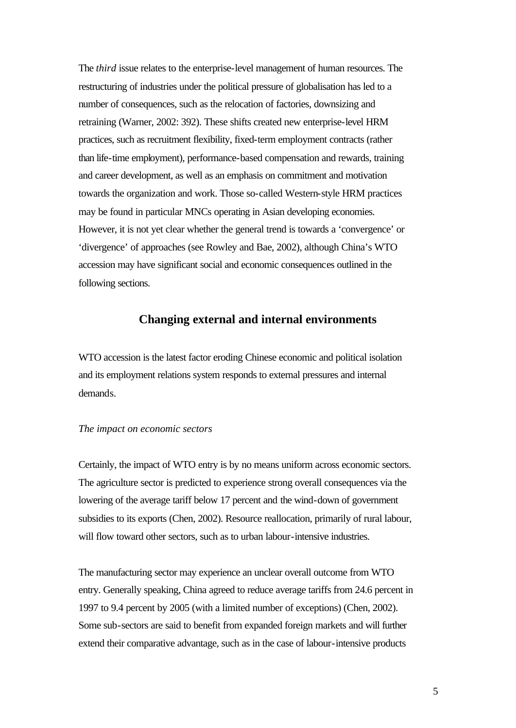The *third* issue relates to the enterprise-level management of human resources. The restructuring of industries under the political pressure of globalisation has led to a number of consequences, such as the relocation of factories, downsizing and retraining (Warner, 2002: 392). These shifts created new enterprise-level HRM practices, such as recruitment flexibility, fixed-term employment contracts (rather than life-time employment), performance-based compensation and rewards, training and career development, as well as an emphasis on commitment and motivation towards the organization and work. Those so-called Western-style HRM practices may be found in particular MNCs operating in Asian developing economies. However, it is not yet clear whether the general trend is towards a 'convergence' or 'divergence' of approaches (see Rowley and Bae, 2002), although China's WTO accession may have significant social and economic consequences outlined in the following sections.

#### **Changing external and internal environments**

WTO accession is the latest factor eroding Chinese economic and political isolation and its employment relations system responds to external pressures and internal demands.

#### *The impact on economic sectors*

Certainly, the impact of WTO entry is by no means uniform across economic sectors. The agriculture sector is predicted to experience strong overall consequences via the lowering of the average tariff below 17 percent and the wind-down of government subsidies to its exports (Chen, 2002). Resource reallocation, primarily of rural labour, will flow toward other sectors, such as to urban labour-intensive industries.

The manufacturing sector may experience an unclear overall outcome from WTO entry. Generally speaking, China agreed to reduce average tariffs from 24.6 percent in 1997 to 9.4 percent by 2005 (with a limited number of exceptions) (Chen, 2002). Some sub-sectors are said to benefit from expanded foreign markets and will further extend their comparative advantage, such as in the case of labour-intensive products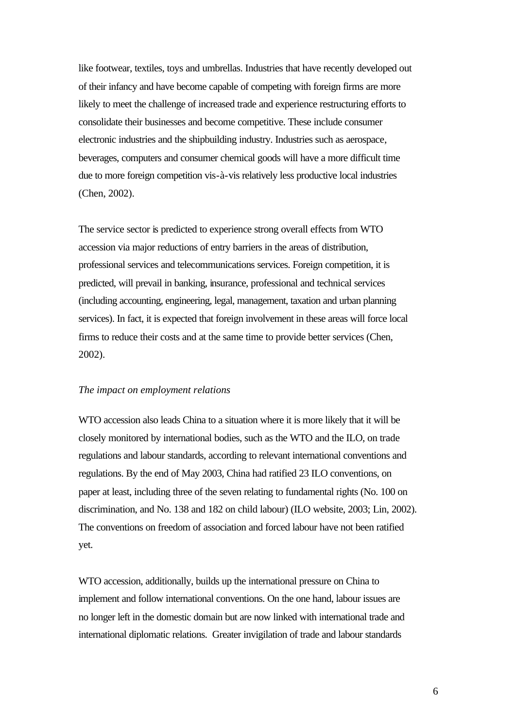like footwear, textiles, toys and umbrellas. Industries that have recently developed out of their infancy and have become capable of competing with foreign firms are more likely to meet the challenge of increased trade and experience restructuring efforts to consolidate their businesses and become competitive. These include consumer electronic industries and the shipbuilding industry. Industries such as aerospace, beverages, computers and consumer chemical goods will have a more difficult time due to more foreign competition vis-à-vis relatively less productive local industries (Chen, 2002).

The service sector is predicted to experience strong overall effects from WTO accession via major reductions of entry barriers in the areas of distribution, professional services and telecommunications services. Foreign competition, it is predicted, will prevail in banking, insurance, professional and technical services (including accounting, engineering, legal, management, taxation and urban planning services). In fact, it is expected that foreign involvement in these areas will force local firms to reduce their costs and at the same time to provide better services (Chen, 2002).

#### *The impact on employment relations*

WTO accession also leads China to a situation where it is more likely that it will be closely monitored by international bodies, such as the WTO and the ILO, on trade regulations and labour standards, according to relevant international conventions and regulations. By the end of May 2003, China had ratified 23 ILO conventions, on paper at least, including three of the seven relating to fundamental rights (No. 100 on discrimination, and No. 138 and 182 on child labour) (ILO website, 2003; Lin, 2002). The conventions on freedom of association and forced labour have not been ratified yet.

WTO accession, additionally, builds up the international pressure on China to implement and follow international conventions. On the one hand, labour issues are no longer left in the domestic domain but are now linked with international trade and international diplomatic relations. Greater invigilation of trade and labour standards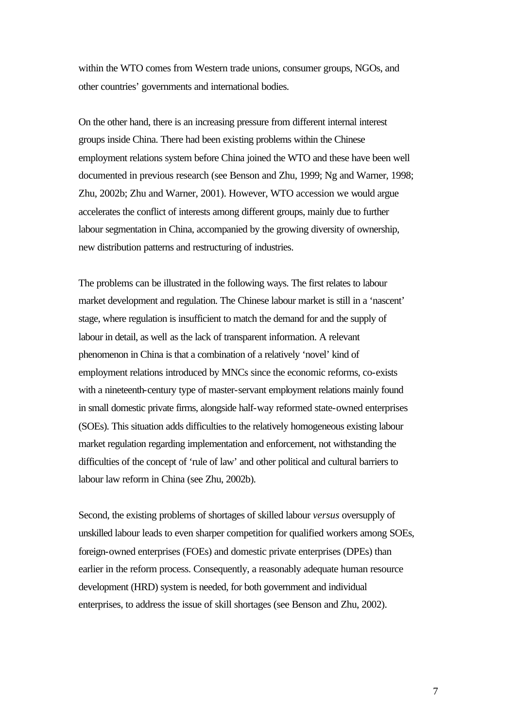within the WTO comes from Western trade unions, consumer groups, NGOs, and other countries' governments and international bodies.

On the other hand, there is an increasing pressure from different internal interest groups inside China. There had been existing problems within the Chinese employment relations system before China joined the WTO and these have been well documented in previous research (see Benson and Zhu, 1999; Ng and Warner, 1998; Zhu, 2002b; Zhu and Warner, 2001). However, WTO accession we would argue accelerates the conflict of interests among different groups, mainly due to further labour segmentation in China, accompanied by the growing diversity of ownership, new distribution patterns and restructuring of industries.

The problems can be illustrated in the following ways. The first relates to labour market development and regulation. The Chinese labour market is still in a 'nascent' stage, where regulation is insufficient to match the demand for and the supply of labour in detail, as well as the lack of transparent information. A relevant phenomenon in China is that a combination of a relatively 'novel' kind of employment relations introduced by MNCs since the economic reforms, co-exists with a nineteenth-century type of master-servant employment relations mainly found in small domestic private firms, alongside half-way reformed state-owned enterprises (SOEs). This situation adds difficulties to the relatively homogeneous existing labour market regulation regarding implementation and enforcement, not withstanding the difficulties of the concept of 'rule of law' and other political and cultural barriers to labour law reform in China (see Zhu, 2002b).

Second, the existing problems of shortages of skilled labour *versus* oversupply of unskilled labour leads to even sharper competition for qualified workers among SOEs, foreign-owned enterprises (FOEs) and domestic private enterprises (DPEs) than earlier in the reform process. Consequently, a reasonably adequate human resource development (HRD) system is needed, for both government and individual enterprises, to address the issue of skill shortages (see Benson and Zhu, 2002).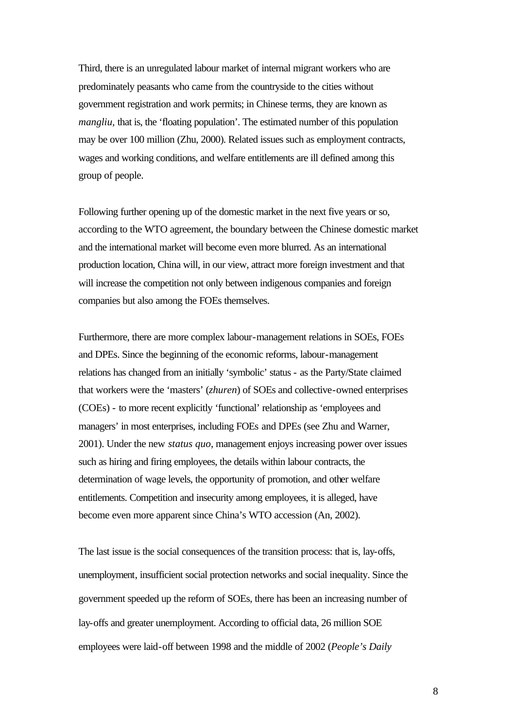Third, there is an unregulated labour market of internal migrant workers who are predominately peasants who came from the countryside to the cities without government registration and work permits; in Chinese terms, they are known as *mangliu*, that is, the 'floating population'. The estimated number of this population may be over 100 million (Zhu, 2000). Related issues such as employment contracts, wages and working conditions, and welfare entitlements are ill defined among this group of people.

Following further opening up of the domestic market in the next five years or so, according to the WTO agreement, the boundary between the Chinese domestic market and the international market will become even more blurred. As an international production location, China will, in our view, attract more foreign investment and that will increase the competition not only between indigenous companies and foreign companies but also among the FOEs themselves.

Furthermore, there are more complex labour-management relations in SOEs, FOEs and DPEs. Since the beginning of the economic reforms, labour-management relations has changed from an initially 'symbolic' status - as the Party/State claimed that workers were the 'masters' (*zhuren*) of SOEs and collective-owned enterprises (COEs) - to more recent explicitly 'functional' relationship as 'employees and managers' in most enterprises, including FOEs and DPEs (see Zhu and Warner, 2001). Under the new *status quo*, management enjoys increasing power over issues such as hiring and firing employees, the details within labour contracts, the determination of wage levels, the opportunity of promotion, and other welfare entitlements. Competition and insecurity among employees, it is alleged, have become even more apparent since China's WTO accession (An, 2002).

The last issue is the social consequences of the transition process: that is, lay-offs, unemployment, insufficient social protection networks and social inequality. Since the government speeded up the reform of SOEs, there has been an increasing number of lay-offs and greater unemployment. According to official data, 26 million SOE employees were laid-off between 1998 and the middle of 2002 (*People's Daily*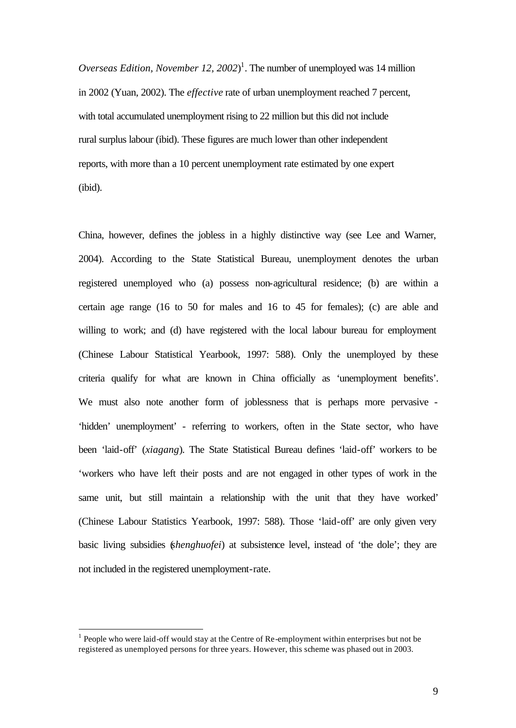*Overseas Edition, November 12, 2002*) 1 . The number of unemployed was 14 million in 2002 (Yuan, 2002). The *effective* rate of urban unemployment reached 7 percent, with total accumulated unemployment rising to 22 million but this did not include rural surplus labour (ibid). These figures are much lower than other independent reports, with more than a 10 percent unemployment rate estimated by one expert (ibid).

China, however, defines the jobless in a highly distinctive way (see Lee and Warner, 2004). According to the State Statistical Bureau, unemployment denotes the urban registered unemployed who (a) possess non-agricultural residence; (b) are within a certain age range (16 to 50 for males and 16 to 45 for females); (c) are able and willing to work; and (d) have registered with the local labour bureau for employment (Chinese Labour Statistical Yearbook, 1997: 588). Only the unemployed by these criteria qualify for what are known in China officially as 'unemployment benefits'. We must also note another form of joblessness that is perhaps more pervasive -'hidden' unemployment' - referring to workers, often in the State sector, who have been 'laid-off' (*xiagang*). The State Statistical Bureau defines 'laid-off' workers to be 'workers who have left their posts and are not engaged in other types of work in the same unit, but still maintain a relationship with the unit that they have worked' (Chinese Labour Statistics Yearbook, 1997: 588). Those 'laid-off' are only given very basic living subsidies (*shenghuofei*) at subsistence level, instead of 'the dole'; they are not included in the registered unemployment-rate.

l

 $<sup>1</sup>$  People who were laid-off would stay at the Centre of Re-employment within enterprises but not be</sup> registered as unemployed persons for three years. However, this scheme was phased out in 2003.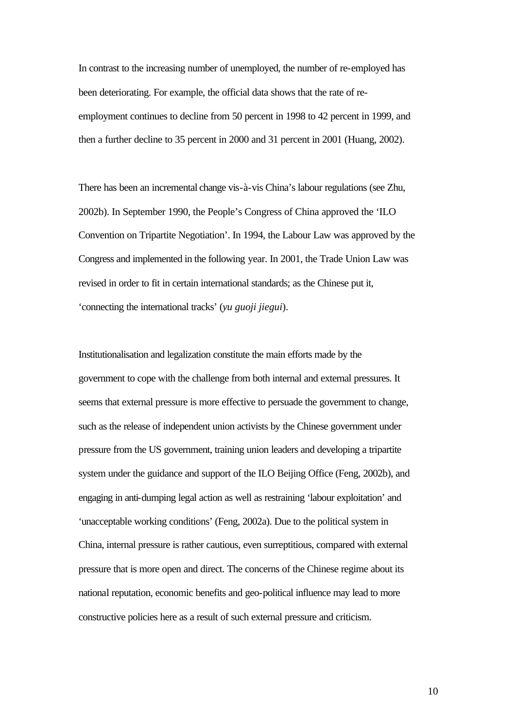In contrast to the increasing number of unemployed, the number of re-employed has been deteriorating. For example, the official data shows that the rate of reemployment continues to decline from 50 percent in 1998 to 42 percent in 1999, and then a further decline to 35 percent in 2000 and 31 percent in 2001 (Huang, 2002).

There has been an incremental change vis-à-vis China's labour regulations (see Zhu, 2002b). In September 1990, the People's Congress of China approved the 'ILO Convention on Tripartite Negotiation'. In 1994, the Labour Law was approved by the Congress and implemented in the following year. In 2001, the Trade Union Law was revised in order to fit in certain international standards; as the Chinese put it, 'connecting the international tracks' (*yu guoji jiegui*).

Institutionalisation and legalization constitute the main efforts made by the government to cope with the challenge from both internal and external pressures. It seems that external pressure is more effective to persuade the government to change, such as the release of independent union activists by the Chinese government under pressure from the US government, training union leaders and developing a tripartite system under the guidance and support of the ILO Beijing Office (Feng, 2002b), and engaging in anti-dumping legal action as well as restraining 'labour exploitation' and 'unacceptable working conditions' (Feng, 2002a). Due to the political system in China, internal pressure is rather cautious, even surreptitious, compared with external pressure that is more open and direct. The concerns of the Chinese regime about its national reputation, economic benefits and geo-political influence may lead to more constructive policies here as a result of such external pressure and criticism.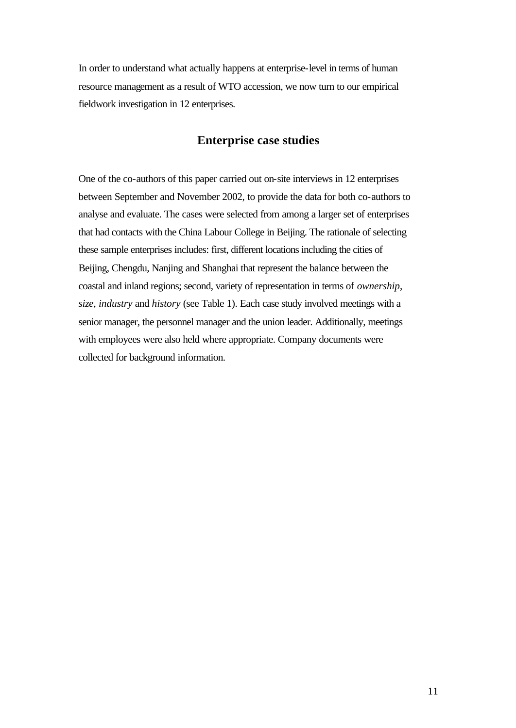In order to understand what actually happens at enterprise-level in terms of human resource management as a result of WTO accession, we now turn to our empirical fieldwork investigation in 12 enterprises.

#### **Enterprise case studies**

One of the co-authors of this paper carried out on-site interviews in 12 enterprises between September and November 2002, to provide the data for both co-authors to analyse and evaluate. The cases were selected from among a larger set of enterprises that had contacts with the China Labour College in Beijing. The rationale of selecting these sample enterprises includes: first, different locations including the cities of Beijing, Chengdu, Nanjing and Shanghai that represent the balance between the coastal and inland regions; second, variety of representation in terms of *ownership*, *size*, *industry* and *history* (see Table 1). Each case study involved meetings with a senior manager, the personnel manager and the union leader. Additionally, meetings with employees were also held where appropriate. Company documents were collected for background information.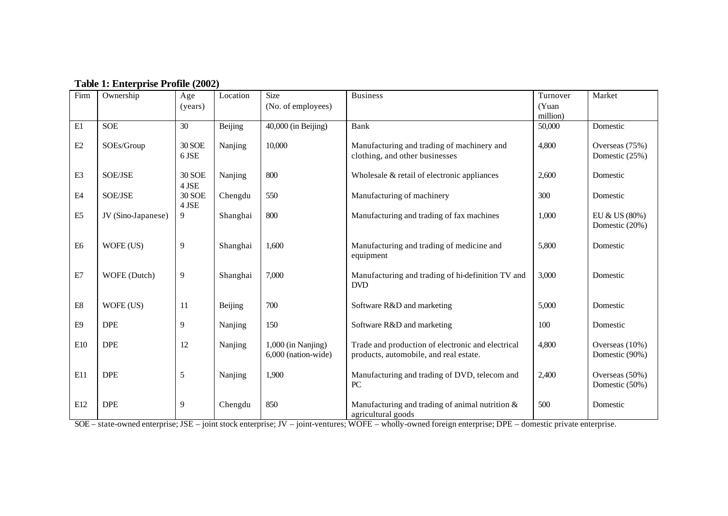| Firm                               | Ownership          | Age                    | Location       | <b>Size</b>                               | <b>Business</b><br>Turnover                                                                 |          | Market                           |  |
|------------------------------------|--------------------|------------------------|----------------|-------------------------------------------|---------------------------------------------------------------------------------------------|----------|----------------------------------|--|
|                                    |                    | (years)                |                | (No. of employees)                        |                                                                                             | (Yuan    |                                  |  |
|                                    |                    |                        |                |                                           |                                                                                             | million) |                                  |  |
| E1                                 | <b>SOE</b>         | 30                     | <b>Beijing</b> | 40,000 (in Beijing)                       | Bank                                                                                        | 50,000   | Domestic                         |  |
| $\mathrm{E2}$                      | SOEs/Group         | <b>30 SOE</b><br>6 JSE | Nanjing        | 10,000                                    | Manufacturing and trading of machinery and<br>clothing, and other businesses                | 4,800    | Overseas (75%)<br>Domestic (25%) |  |
| $\mathop{\mathrm{E3}}$             | SOE/JSE            | <b>30 SOE</b><br>4 JSE | Nanjing        | 800                                       | Wholesale & retail of electronic appliances                                                 | 2,600    | Domestic                         |  |
| $\mathbf{E}4$                      | SOE/JSE            | <b>30 SOE</b><br>4 JSE | Chengdu        | 550                                       | Manufacturing of machinery                                                                  | 300      | Domestic                         |  |
| ${\rm E}5$                         | JV (Sino-Japanese) | 9                      | Shanghai       | 800                                       | Manufacturing and trading of fax machines                                                   | 1,000    | EU & US (80%)<br>Domestic (20%)  |  |
| E <sub>6</sub>                     | WOFE (US)          | 9                      | Shanghai       | 1,600                                     | Manufacturing and trading of medicine and<br>equipment                                      | 5,800    | Domestic                         |  |
| $\mathop{\rm E{}}\nolimits$        | WOFE (Dutch)       | 9                      | Shanghai       | 7,000                                     | Manufacturing and trading of hi-definition TV and<br><b>DVD</b>                             | 3,000    | Domestic                         |  |
| $\mathop{\hbox{\rm E}}\nolimits 8$ | WOFE (US)          | 11                     | Beijing        | 700                                       | Software R&D and marketing                                                                  | 5,000    | Domestic                         |  |
| E <sub>9</sub>                     | <b>DPE</b>         | 9                      | Nanjing        | 150                                       | Software R&D and marketing                                                                  | 100      | Domestic                         |  |
| E10                                | <b>DPE</b>         | 12                     | Nanjing        | 1,000 (in Nanjing)<br>6,000 (nation-wide) | Trade and production of electronic and electrical<br>products, automobile, and real estate. | 4,800    | Overseas (10%)<br>Domestic (90%) |  |
| E11                                | <b>DPE</b>         | 5                      | Nanjing        | 1,900                                     | Manufacturing and trading of DVD, telecom and<br>PC                                         | 2,400    | Overseas (50%)<br>Domestic (50%) |  |
| E12                                | <b>DPE</b>         | 9                      | Chengdu        | 850                                       | Manufacturing and trading of animal nutrition $\&$<br>agricultural goods                    | 500      | Domestic                         |  |

SOE – state-owned enterprise; JSE – joint stock enterprise; JV – joint-ventures; WOFE – wholly-owned foreign enterprise; DPE – domestic private enterprise.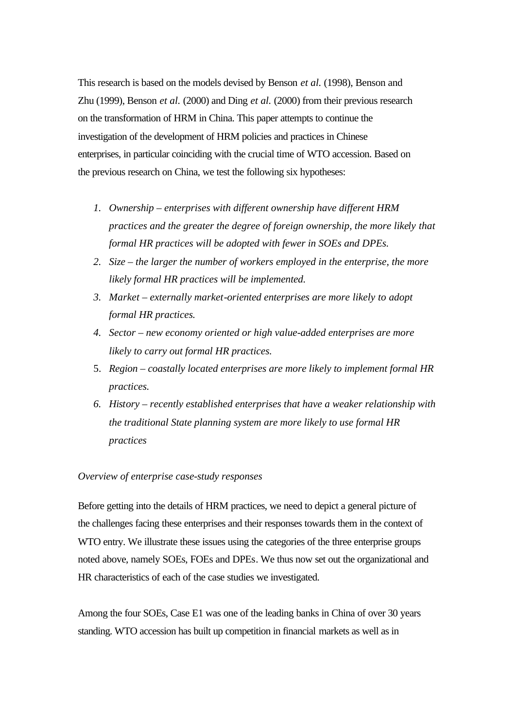This research is based on the models devised by Benson *et al.* (1998), Benson and Zhu (1999), Benson *et al.* (2000) and Ding *et al.* (2000) from their previous research on the transformation of HRM in China. This paper attempts to continue the investigation of the development of HRM policies and practices in Chinese enterprises, in particular coinciding with the crucial time of WTO accession. Based on the previous research on China, we test the following six hypotheses:

- *1. Ownership enterprises with different ownership have different HRM practices and the greater the degree of foreign ownership, the more likely that formal HR practices will be adopted with fewer in SOEs and DPEs.*
- *2. Size the larger the number of workers employed in the enterprise, the more likely formal HR practices will be implemented.*
- *3. Market externally market-oriented enterprises are more likely to adopt formal HR practices.*
- *4. Sector new economy oriented or high value-added enterprises are more likely to carry out formal HR practices.*
- 5. *Region coastally located enterprises are more likely to implement formal HR practices.*
- *6. History recently established enterprises that have a weaker relationship with the traditional State planning system are more likely to use formal HR practices*

#### *Overview of enterprise case-study responses*

Before getting into the details of HRM practices, we need to depict a general picture of the challenges facing these enterprises and their responses towards them in the context of WTO entry. We illustrate these issues using the categories of the three enterprise groups noted above, namely SOEs, FOEs and DPEs. We thus now set out the organizational and HR characteristics of each of the case studies we investigated.

Among the four SOEs, Case E1 was one of the leading banks in China of over 30 years standing. WTO accession has built up competition in financial markets as well as in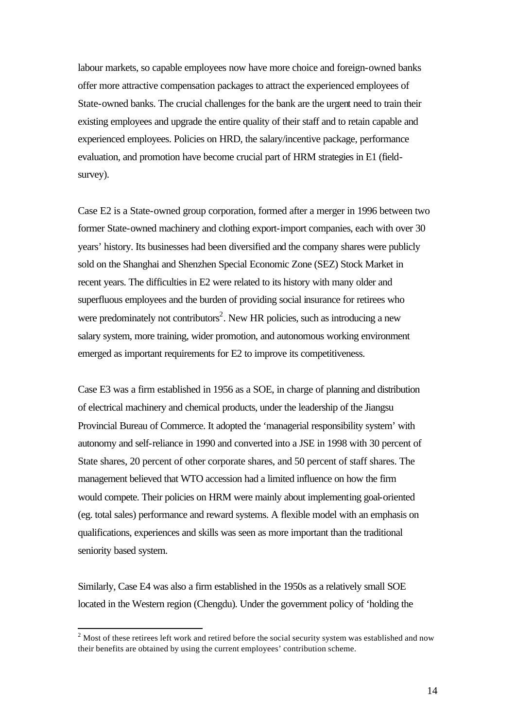labour markets, so capable employees now have more choice and foreign-owned banks offer more attractive compensation packages to attract the experienced employees of State-owned banks. The crucial challenges for the bank are the urgent need to train their existing employees and upgrade the entire quality of their staff and to retain capable and experienced employees. Policies on HRD, the salary/incentive package, performance evaluation, and promotion have become crucial part of HRM strategies in E1 (fieldsurvey).

Case E2 is a State-owned group corporation, formed after a merger in 1996 between two former State-owned machinery and clothing export-import companies, each with over 30 years' history. Its businesses had been diversified and the company shares were publicly sold on the Shanghai and Shenzhen Special Economic Zone (SEZ) Stock Market in recent years. The difficulties in E2 were related to its history with many older and superfluous employees and the burden of providing social insurance for retirees who were predominately not contributors<sup>2</sup>. New HR policies, such as introducing a new salary system, more training, wider promotion, and autonomous working environment emerged as important requirements for E2 to improve its competitiveness.

Case E3 was a firm established in 1956 as a SOE, in charge of planning and distribution of electrical machinery and chemical products, under the leadership of the Jiangsu Provincial Bureau of Commerce. It adopted the 'managerial responsibility system' with autonomy and self-reliance in 1990 and converted into a JSE in 1998 with 30 percent of State shares, 20 percent of other corporate shares, and 50 percent of staff shares. The management believed that WTO accession had a limited influence on how the firm would compete. Their policies on HRM were mainly about implementing goal-oriented (eg. total sales) performance and reward systems. A flexible model with an emphasis on qualifications, experiences and skills was seen as more important than the traditional seniority based system.

Similarly, Case E4 was also a firm established in the 1950s as a relatively small SOE located in the Western region (Chengdu). Under the government policy of 'holding the

l

 $2^{2}$  Most of these retirees left work and retired before the social security system was established and now their benefits are obtained by using the current employees' contribution scheme.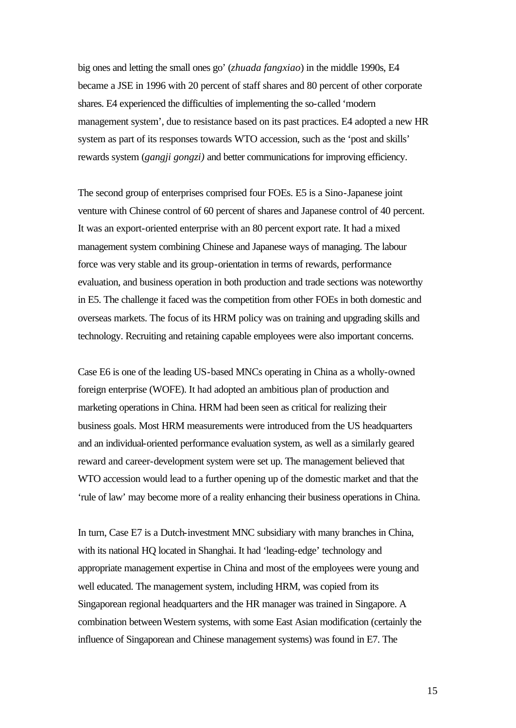big ones and letting the small ones go' (*zhuada fangxiao*) in the middle 1990s, E4 became a JSE in 1996 with 20 percent of staff shares and 80 percent of other corporate shares. E4 experienced the difficulties of implementing the so-called 'modern management system', due to resistance based on its past practices. E4 adopted a new HR system as part of its responses towards WTO accession, such as the 'post and skills' rewards system (*gangji gongzi)* and better communications for improving efficiency.

The second group of enterprises comprised four FOEs. E5 is a Sino-Japanese joint venture with Chinese control of 60 percent of shares and Japanese control of 40 percent. It was an export-oriented enterprise with an 80 percent export rate. It had a mixed management system combining Chinese and Japanese ways of managing. The labour force was very stable and its group-orientation in terms of rewards, performance evaluation, and business operation in both production and trade sections was noteworthy in E5. The challenge it faced was the competition from other FOEs in both domestic and overseas markets. The focus of its HRM policy was on training and upgrading skills and technology. Recruiting and retaining capable employees were also important concerns.

Case E6 is one of the leading US-based MNCs operating in China as a wholly-owned foreign enterprise (WOFE). It had adopted an ambitious plan of production and marketing operations in China. HRM had been seen as critical for realizing their business goals. Most HRM measurements were introduced from the US headquarters and an individual-oriented performance evaluation system, as well as a similarly geared reward and career-development system were set up. The management believed that WTO accession would lead to a further opening up of the domestic market and that the 'rule of law' may become more of a reality enhancing their business operations in China.

In turn, Case E7 is a Dutch-investment MNC subsidiary with many branches in China, with its national HQ located in Shanghai. It had 'leading-edge' technology and appropriate management expertise in China and most of the employees were young and well educated. The management system, including HRM, was copied from its Singaporean regional headquarters and the HR manager was trained in Singapore. A combination between Western systems, with some East Asian modification (certainly the influence of Singaporean and Chinese management systems) was found in E7. The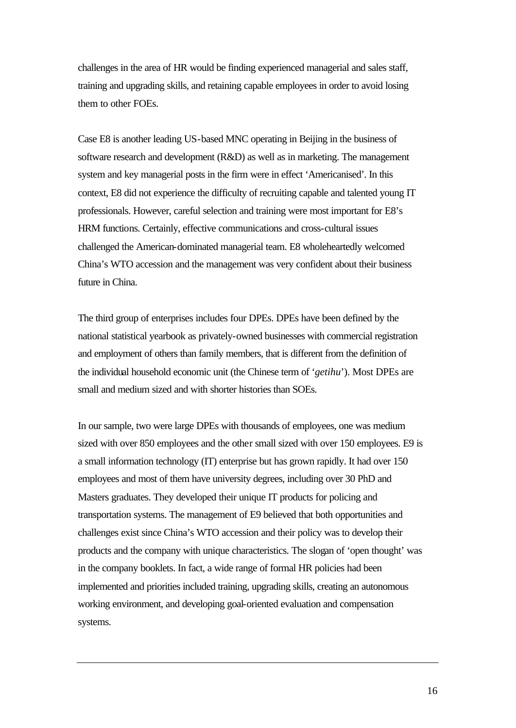challenges in the area of HR would be finding experienced managerial and sales staff, training and upgrading skills, and retaining capable employees in order to avoid losing them to other FOEs.

Case E8 is another leading US-based MNC operating in Beijing in the business of software research and development (R&D) as well as in marketing. The management system and key managerial posts in the firm were in effect 'Americanised'. In this context, E8 did not experience the difficulty of recruiting capable and talented young IT professionals. However, careful selection and training were most important for E8's HRM functions. Certainly, effective communications and cross-cultural issues challenged the American-dominated managerial team. E8 wholeheartedly welcomed China's WTO accession and the management was very confident about their business future in China.

The third group of enterprises includes four DPEs. DPEs have been defined by the national statistical yearbook as privately-owned businesses with commercial registration and employment of others than family members, that is different from the definition of the individual household economic unit (the Chinese term of '*getihu*'). Most DPEs are small and medium sized and with shorter histories than SOEs.

In our sample, two were large DPEs with thousands of employees, one was medium sized with over 850 employees and the other small sized with over 150 employees. E9 is a small information technology (IT) enterprise but has grown rapidly. It had over 150 employees and most of them have university degrees, including over 30 PhD and Masters graduates. They developed their unique IT products for policing and transportation systems. The management of E9 believed that both opportunities and challenges exist since China's WTO accession and their policy was to develop their products and the company with unique characteristics. The slogan of 'open thought' was in the company booklets. In fact, a wide range of formal HR policies had been implemented and priorities included training, upgrading skills, creating an autonomous working environment, and developing goal-oriented evaluation and compensation systems.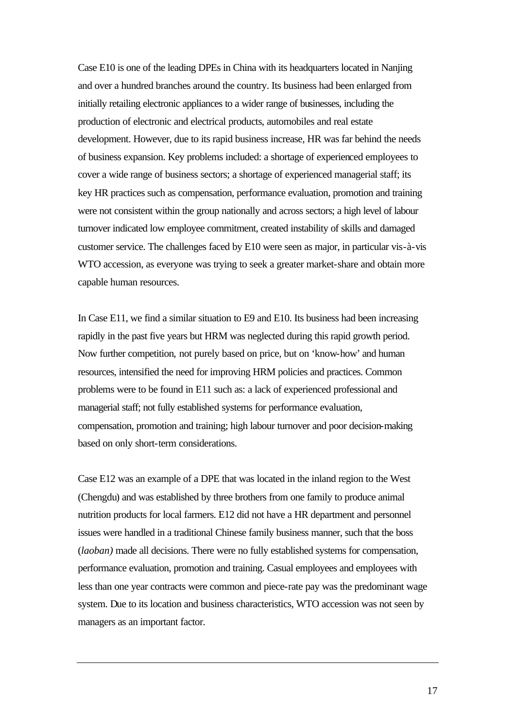Case E10 is one of the leading DPEs in China with its headquarters located in Nanjing and over a hundred branches around the country. Its business had been enlarged from initially retailing electronic appliances to a wider range of businesses, including the production of electronic and electrical products, automobiles and real estate development. However, due to its rapid business increase, HR was far behind the needs of business expansion. Key problems included: a shortage of experienced employees to cover a wide range of business sectors; a shortage of experienced managerial staff; its key HR practices such as compensation, performance evaluation, promotion and training were not consistent within the group nationally and across sectors; a high level of labour turnover indicated low employee commitment, created instability of skills and damaged customer service. The challenges faced by E10 were seen as major, in particular vis-à-vis WTO accession, as everyone was trying to seek a greater market-share and obtain more capable human resources.

In Case E11, we find a similar situation to E9 and E10. Its business had been increasing rapidly in the past five years but HRM was neglected during this rapid growth period. Now further competition, not purely based on price, but on 'know-how' and human resources, intensified the need for improving HRM policies and practices. Common problems were to be found in E11 such as: a lack of experienced professional and managerial staff; not fully established systems for performance evaluation, compensation, promotion and training; high labour turnover and poor decision-making based on only short-term considerations.

Case E12 was an example of a DPE that was located in the inland region to the West (Chengdu) and was established by three brothers from one family to produce animal nutrition products for local farmers. E12 did not have a HR department and personnel issues were handled in a traditional Chinese family business manner, such that the boss (*laoban)* made all decisions. There were no fully established systems for compensation, performance evaluation, promotion and training. Casual employees and employees with less than one year contracts were common and piece-rate pay was the predominant wage system. Due to its location and business characteristics, WTO accession was not seen by managers as an important factor.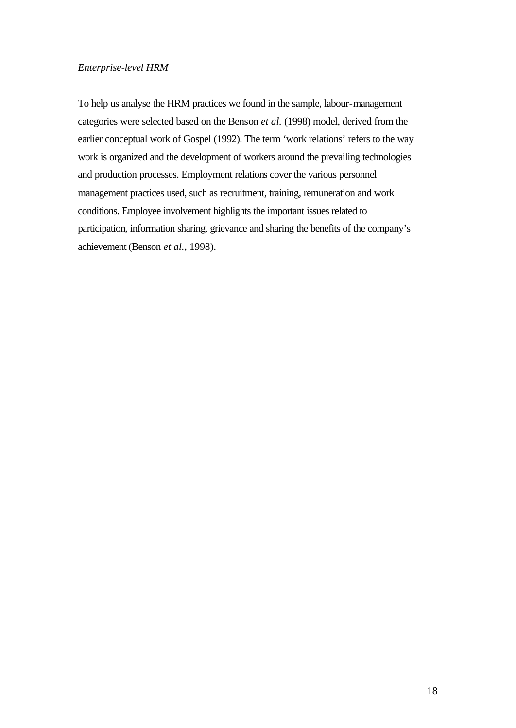#### *Enterprise-level HRM*

To help us analyse the HRM practices we found in the sample, labour-management categories were selected based on the Benson *et al.* (1998) model, derived from the earlier conceptual work of Gospel (1992). The term 'work relations' refers to the way work is organized and the development of workers around the prevailing technologies and production processes. Employment relations cover the various personnel management practices used, such as recruitment, training, remuneration and work conditions. Employee involvement highlights the important issues related to participation, information sharing, grievance and sharing the benefits of the company's achievement (Benson *et al.*, 1998).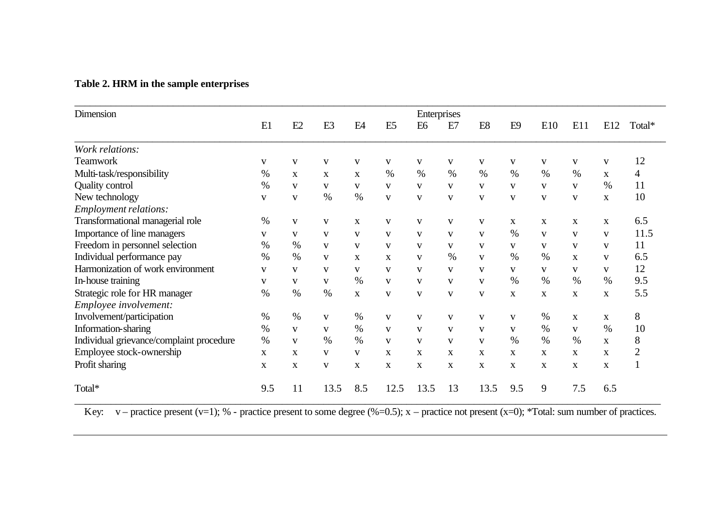## **Table 2. HRM in the sample enterprises**

| Dimension                                | Enterprises  |              |                |                |                |                |              |                |                |              |              |              |                |
|------------------------------------------|--------------|--------------|----------------|----------------|----------------|----------------|--------------|----------------|----------------|--------------|--------------|--------------|----------------|
|                                          | E1           | E2           | E <sub>3</sub> | E <sub>4</sub> | E <sub>5</sub> | E <sub>6</sub> | E7           | E <sub>8</sub> | E <sub>9</sub> | E10          | E11          | E12          | Total*         |
| Work relations:                          |              |              |                |                |                |                |              |                |                |              |              |              |                |
| <b>Teamwork</b>                          | V            | $\mathbf{V}$ | V              | V              | V              | V              | V            | V              | V              | V            | V            | $\mathbf{V}$ | 12             |
| Multi-task/responsibility                | %            | $\mathbf{X}$ | $\mathbf X$    | X              | %              | $\%$           | $\%$         | $\%$           | $\%$           | $\%$         | $\%$         | $\mathbf{X}$ | 4              |
| <b>Quality control</b>                   | $\%$         | V            | V              | V              | V              | V              | V            | V              | V              | V            | V            | $\%$         | 11             |
| New technology                           | V            | V            | $\%$           | $\%$           | $\mathbf{V}$   | V              | $\mathbf{V}$ | V              | V              | V            | V            | X            | 10             |
| Employment relations:                    |              |              |                |                |                |                |              |                |                |              |              |              |                |
| Transformational managerial role         | %            | V            | V              | X              | V              | V              | V            | V              | X              | $\mathbf X$  | X            | X            | 6.5            |
| Importance of line managers              | V            | $\mathbf{V}$ | V              | $\mathbf{V}$   | $\mathbf{V}$   | V              | $\mathbf{V}$ | $\mathbf{V}$   | $\%$           | $\mathbf{V}$ | $\mathbf{V}$ | $\mathbf{V}$ | 11.5           |
| Freedom in personnel selection           | $\%$         | $\%$         | $\mathbf{V}$   | V              | V              | V              | V            | V              | V              | V            | V            | V            | 11             |
| Individual performance pay               | $\%$         | $\%$         | V              | $\mathbf{x}$   | $\mathbf{X}$   | $\mathbf{V}$   | $\%$         | $\mathbf{V}$   | $\%$           | $\%$         | $\mathbf{x}$ | $\mathbf{V}$ | 6.5            |
| Harmonization of work environment        | V            | V            | V              | V              | V              | V              | V            | V              | V              | V            | V            | V            | 12             |
| In-house training                        | V            | $\mathbf{V}$ | $\mathbf{V}$   | $\%$           | $\mathbf{V}$   | V              | V            | $\mathbf{V}$   | $\%$           | $\%$         | $\%$         | $\%$         | 9.5            |
| Strategic role for HR manager            | $\%$         | $\%$         | $\%$           | $\mathbf X$    | V              | V              | V            | $\mathbf{V}$   | $\mathbf X$    | $\mathbf X$  | $\mathbf X$  | X            | 5.5            |
| Employee involvement:                    |              |              |                |                |                |                |              |                |                |              |              |              |                |
| Involvement/participation                | $\%$         | %            | V              | $\%$           | V              | V              | V            | V              | V              | $\%$         | $\mathbf{X}$ | X            | 8              |
| Information-sharing                      | $\%$         | V            | V              | $\%$           | V              | V              | V            | V              | V              | $\%$         | V            | $\%$         | 10             |
| Individual grievance/complaint procedure | $\%$         | $\mathbf{V}$ | $\%$           | $\%$           | $\mathbf{V}$   | $\mathbf{V}$   | $\mathbf{V}$ | $\mathbf{V}$   | $\%$           | $\%$         | $\%$         | $\mathbf{X}$ | 8              |
| Employee stock-ownership                 | $\mathbf{X}$ | $\mathbf{X}$ | V              | V              | X              | X              | X            | X              | X              | X            | X            | X            | $\overline{2}$ |
| Profit sharing                           | $\mathbf{X}$ | X            | $\mathbf{V}$   | X              | X              | X              | X            | X              | X              | $\mathbf{x}$ | X            | $\mathbf{X}$ |                |
| Total*                                   | 9.5          | 11           | 13.5           | 8.5            | 12.5           | 13.5           | 13           | 13.5           | 9.5            | 9            | 7.5          | 6.5          |                |

Key:  $v$  – practice present (v=1); % - practice present to some degree (%=0.5); x – practice not present (x=0); \*Total: sum number of practices.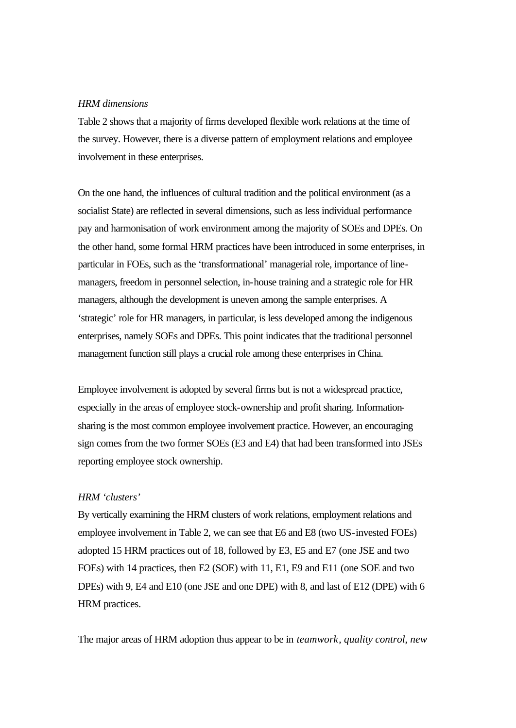#### *HRM dimensions*

Table 2 shows that a majority of firms developed flexible work relations at the time of the survey. However, there is a diverse pattern of employment relations and employee involvement in these enterprises.

On the one hand, the influences of cultural tradition and the political environment (as a socialist State) are reflected in several dimensions, such as less individual performance pay and harmonisation of work environment among the majority of SOEs and DPEs. On the other hand, some formal HRM practices have been introduced in some enterprises, in particular in FOEs, such as the 'transformational' managerial role, importance of linemanagers, freedom in personnel selection, in-house training and a strategic role for HR managers, although the development is uneven among the sample enterprises. A 'strategic' role for HR managers, in particular, is less developed among the indigenous enterprises, namely SOEs and DPEs. This point indicates that the traditional personnel management function still plays a crucial role among these enterprises in China.

Employee involvement is adopted by several firms but is not a widespread practice, especially in the areas of employee stock-ownership and profit sharing. Informationsharing is the most common employee involvement practice. However, an encouraging sign comes from the two former SOEs (E3 and E4) that had been transformed into JSEs reporting employee stock ownership.

#### *HRM 'clusters'*

By vertically examining the HRM clusters of work relations, employment relations and employee involvement in Table 2, we can see that E6 and E8 (two US-invested FOEs) adopted 15 HRM practices out of 18, followed by E3, E5 and E7 (one JSE and two FOEs) with 14 practices, then E2 (SOE) with 11, E1, E9 and E11 (one SOE and two DPEs) with 9, E4 and E10 (one JSE and one DPE) with 8, and last of E12 (DPE) with 6 HRM practices.

The major areas of HRM adoption thus appear to be in *teamwork*, *quality control*, *new*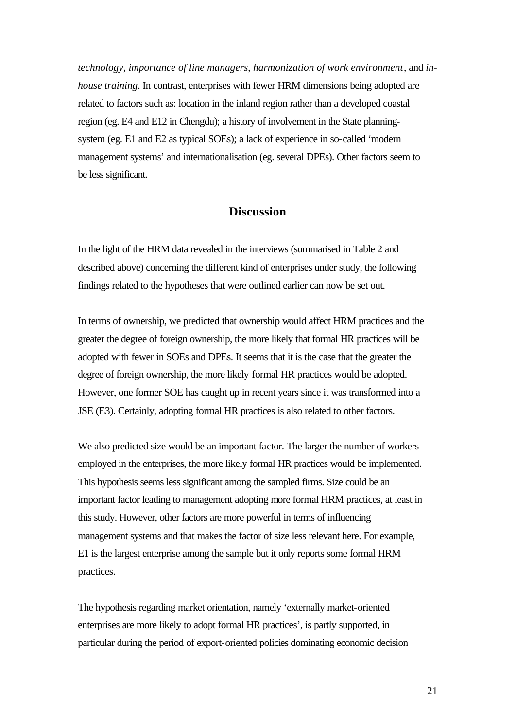*technology*, *importance of line managers*, *harmonization of work environment*, and *inhouse training*. In contrast, enterprises with fewer HRM dimensions being adopted are related to factors such as: location in the inland region rather than a developed coastal region (eg. E4 and E12 in Chengdu); a history of involvement in the State planningsystem (eg. E1 and E2 as typical SOEs); a lack of experience in so-called 'modern management systems' and internationalisation (eg. several DPEs). Other factors seem to be less significant.

#### **Discussion**

In the light of the HRM data revealed in the interviews (summarised in Table 2 and described above) concerning the different kind of enterprises under study, the following findings related to the hypotheses that were outlined earlier can now be set out.

In terms of ownership, we predicted that ownership would affect HRM practices and the greater the degree of foreign ownership, the more likely that formal HR practices will be adopted with fewer in SOEs and DPEs. It seems that it is the case that the greater the degree of foreign ownership, the more likely formal HR practices would be adopted. However, one former SOE has caught up in recent years since it was transformed into a JSE (E3). Certainly, adopting formal HR practices is also related to other factors.

We also predicted size would be an important factor. The larger the number of workers employed in the enterprises, the more likely formal HR practices would be implemented. This hypothesis seems less significant among the sampled firms. Size could be an important factor leading to management adopting more formal HRM practices, at least in this study. However, other factors are more powerful in terms of influencing management systems and that makes the factor of size less relevant here. For example, E1 is the largest enterprise among the sample but it only reports some formal HRM practices.

The hypothesis regarding market orientation, namely 'externally market-oriented enterprises are more likely to adopt formal HR practices', is partly supported, in particular during the period of export-oriented policies dominating economic decision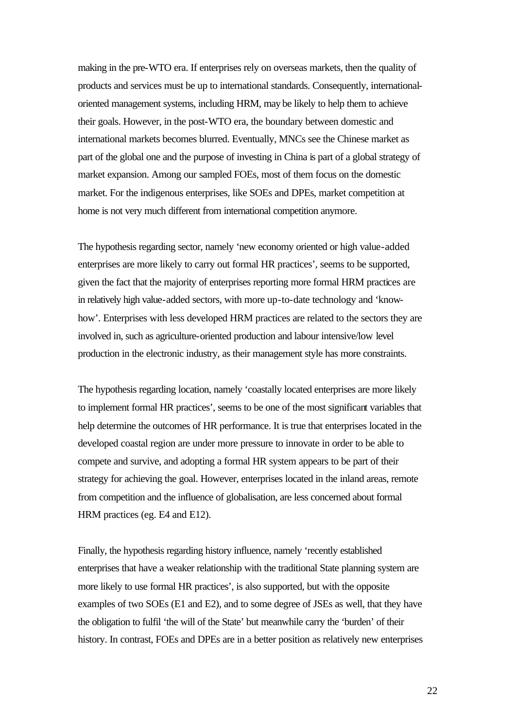making in the pre-WTO era. If enterprises rely on overseas markets, then the quality of products and services must be up to international standards. Consequently, internationaloriented management systems, including HRM, may be likely to help them to achieve their goals. However, in the post-WTO era, the boundary between domestic and international markets becomes blurred. Eventually, MNCs see the Chinese market as part of the global one and the purpose of investing in China is part of a global strategy of market expansion. Among our sampled FOEs, most of them focus on the domestic market. For the indigenous enterprises, like SOEs and DPEs, market competition at home is not very much different from international competition anymore.

The hypothesis regarding sector, namely 'new economy oriented or high value-added enterprises are more likely to carry out formal HR practices', seems to be supported, given the fact that the majority of enterprises reporting more formal HRM practices are in relatively high value-added sectors, with more up-to-date technology and 'knowhow'. Enterprises with less developed HRM practices are related to the sectors they are involved in, such as agriculture-oriented production and labour intensive/low level production in the electronic industry, as their management style has more constraints.

The hypothesis regarding location, namely 'coastally located enterprises are more likely to implement formal HR practices', seems to be one of the most significant variables that help determine the outcomes of HR performance. It is true that enterprises located in the developed coastal region are under more pressure to innovate in order to be able to compete and survive, and adopting a formal HR system appears to be part of their strategy for achieving the goal. However, enterprises located in the inland areas, remote from competition and the influence of globalisation, are less concerned about formal HRM practices (eg. E4 and E12).

Finally, the hypothesis regarding history influence, namely 'recently established enterprises that have a weaker relationship with the traditional State planning system are more likely to use formal HR practices', is also supported, but with the opposite examples of two SOEs (E1 and E2), and to some degree of JSEs as well, that they have the obligation to fulfil 'the will of the State' but meanwhile carry the 'burden' of their history. In contrast, FOEs and DPEs are in a better position as relatively new enterprises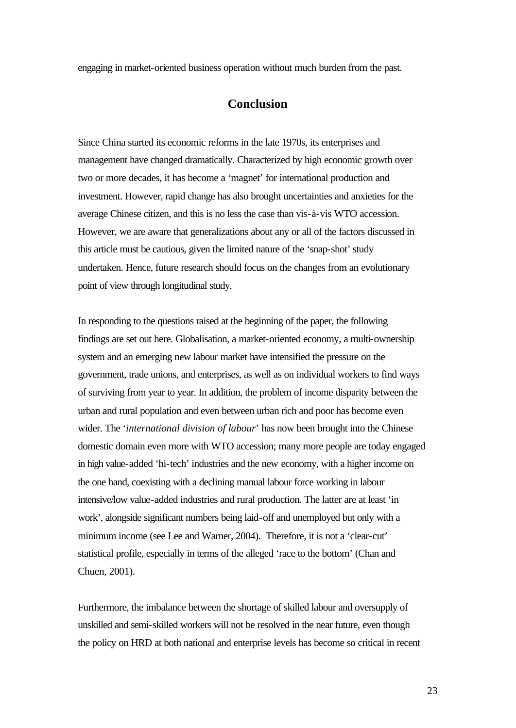engaging in market-oriented business operation without much burden from the past.

#### **Conclusion**

Since China started its economic reforms in the late 1970s, its enterprises and management have changed dramatically. Characterized by high economic growth over two or more decades, it has become a 'magnet' for international production and investment. However, rapid change has also brought uncertainties and anxieties for the average Chinese citizen, and this is no less the case than vis-à-vis WTO accession. However, we are aware that generalizations about any or all of the factors discussed in this article must be cautious, given the limited nature of the 'snap-shot' study undertaken. Hence, future research should focus on the changes from an evolutionary point of view through longitudinal study.

In responding to the questions raised at the beginning of the paper, the following findings are set out here. Globalisation, a market-oriented economy, a multi-ownership system and an emerging new labour market have intensified the pressure on the government, trade unions, and enterprises, as well as on individual workers to find ways of surviving from year to year. In addition, the problem of income disparity between the urban and rural population and even between urban rich and poor has become even wider. The '*international division of labour*' has now been brought into the Chinese domestic domain even more with WTO accession; many more people are today engaged in high value-added 'hi-tech' industries and the new economy, with a higher income on the one hand, coexisting with a declining manual labour force working in labour intensive/low value-added industries and rural production. The latter are at least 'in work', alongside significant numbers being laid-off and unemployed but only with a minimum income (see Lee and Warner, 2004). Therefore, it is not a 'clear-cut' statistical profile, especially in terms of the alleged 'race to the bottom' (Chan and Chuen, 2001).

Furthermore, the imbalance between the shortage of skilled labour and oversupply of unskilled and semi-skilled workers will not be resolved in the near future, even though the policy on HRD at both national and enterprise levels has become so critical in recent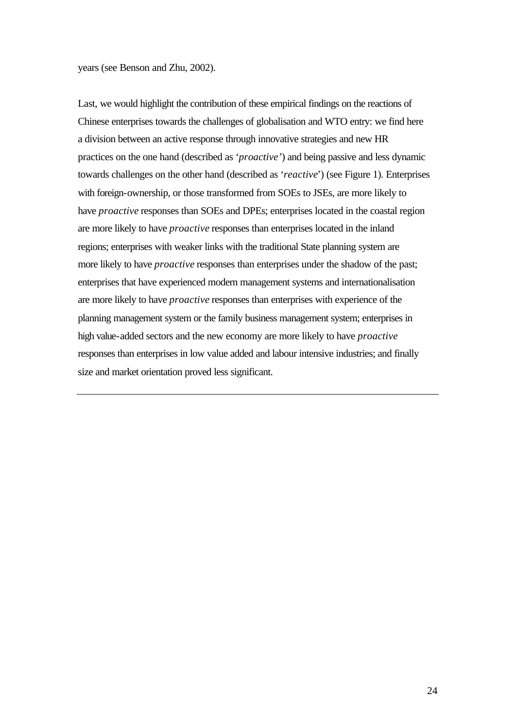years (see Benson and Zhu, 2002).

Last, we would highlight the contribution of these empirical findings on the reactions of Chinese enterprises towards the challenges of globalisation and WTO entry: we find here a division between an active response through innovative strategies and new HR practices on the one hand (described as '*proactive'*) and being passive and less dynamic towards challenges on the other hand (described as '*reactive*') (see Figure 1). Enterprises with foreign-ownership, or those transformed from SOEs to JSEs, are more likely to have *proactive* responses than SOEs and DPEs; enterprises located in the coastal region are more likely to have *proactive* responses than enterprises located in the inland regions; enterprises with weaker links with the traditional State planning system are more likely to have *proactive* responses than enterprises under the shadow of the past; enterprises that have experienced modern management systems and internationalisation are more likely to have *proactive* responses than enterprises with experience of the planning management system or the family business management system; enterprises in high value-added sectors and the new economy are more likely to have *proactive* responses than enterprises in low value added and labour intensive industries; and finally size and market orientation proved less significant.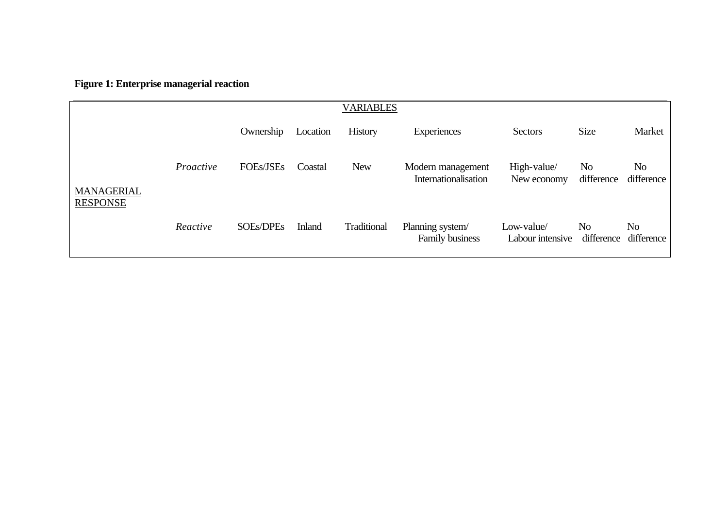**Figure 1: Enterprise managerial reaction** 

|                                      | <b>VARIABLES</b> |                  |               |                |                                           |                                |                              |                  |  |  |
|--------------------------------------|------------------|------------------|---------------|----------------|-------------------------------------------|--------------------------------|------------------------------|------------------|--|--|
|                                      |                  | Ownership        | Location      | <b>History</b> | Experiences                               | Sectors                        | <b>Size</b>                  | Market           |  |  |
| <b>MANAGERIAL</b><br><b>RESPONSE</b> | Proactive        | <b>FOEs/JSEs</b> | Coastal       | <b>New</b>     | Modern management<br>Internationalisation | High-value/<br>New economy     | No.<br>difference            | No<br>difference |  |  |
|                                      | Reactive         | <b>SOEs/DPEs</b> | <b>Inland</b> | Traditional    | Planning system/<br>Family business       | Low-value/<br>Labour intensive | N <sub>0</sub><br>difference | No<br>difference |  |  |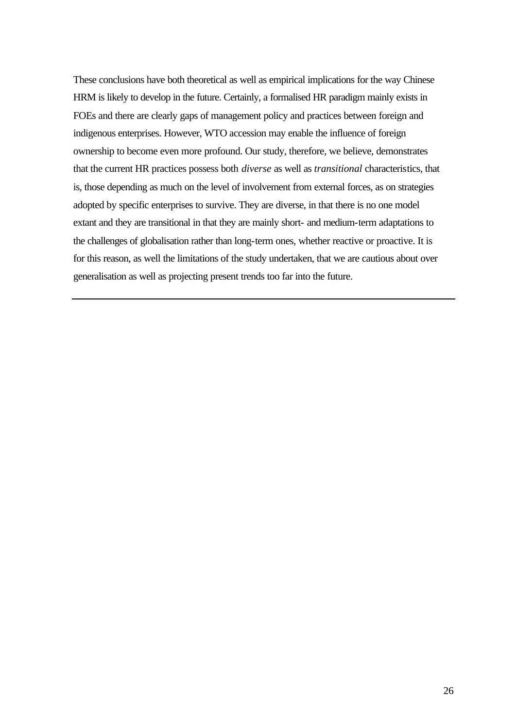These conclusions have both theoretical as well as empirical implications for the way Chinese HRM is likely to develop in the future. Certainly, a formalised HR paradigm mainly exists in FOEs and there are clearly gaps of management policy and practices between foreign and indigenous enterprises. However, WTO accession may enable the influence of foreign ownership to become even more profound. Our study, therefore, we believe, demonstrates that the current HR practices possess both *diverse* as well as *transitional* characteristics, that is, those depending as much on the level of involvement from external forces, as on strategies adopted by specific enterprises to survive. They are diverse, in that there is no one model extant and they are transitional in that they are mainly short- and medium-term adaptations to the challenges of globalisation rather than long-term ones, whether reactive or proactive. It is for this reason, as well the limitations of the study undertaken, that we are cautious about over generalisation as well as projecting present trends too far into the future.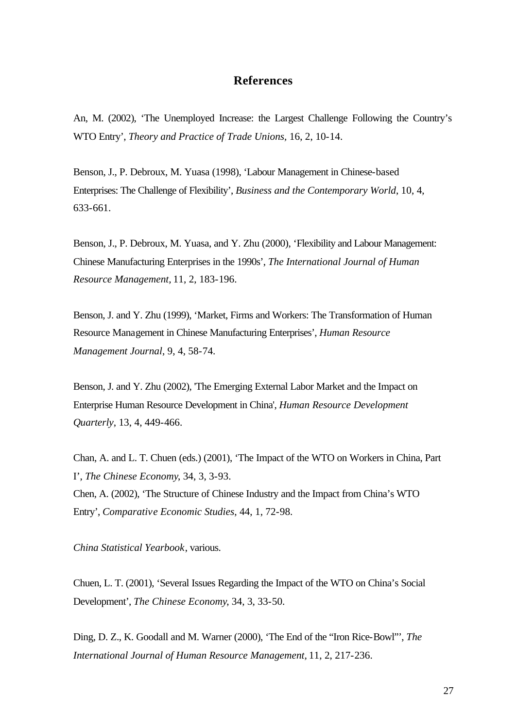#### **References**

An, M. (2002), 'The Unemployed Increase: the Largest Challenge Following the Country's WTO Entry', *Theory and Practice of Trade Unions,* 16, 2, 10-14.

Benson, J., P. Debroux, M. Yuasa (1998), 'Labour Management in Chinese-based Enterprises: The Challenge of Flexibility', *Business and the Contemporary World*, 10, 4, 633-661.

Benson, J., P. Debroux, M. Yuasa, and Y. Zhu (2000), 'Flexibility and Labour Management: Chinese Manufacturing Enterprises in the 1990s', *The International Journal of Human Resource Management,* 11, 2, 183-196.

Benson, J. and Y. Zhu (1999), 'Market, Firms and Workers: The Transformation of Human Resource Management in Chinese Manufacturing Enterprises', *Human Resource Management Journal*, 9, 4, 58-74.

Benson, J. and Y. Zhu (2002), 'The Emerging External Labor Market and the Impact on Enterprise Human Resource Development in China', *Human Resource Development Quarterly*, 13, 4, 449-466.

Chan, A. and L. T. Chuen (eds.) (2001), 'The Impact of the WTO on Workers in China, Part I', *The Chinese Economy*, 34, 3, 3-93. Chen, A. (2002), 'The Structure of Chinese Industry and the Impact from China's WTO Entry', *Comparative Economic Studies*, 44, 1, 72-98.

*China Statistical Yearbook*, various.

Chuen, L. T. (2001), 'Several Issues Regarding the Impact of the WTO on China's Social Development', *The Chinese Economy*, 34, 3, 33-50.

Ding, D. Z., K. Goodall and M. Warner (2000), 'The End of the "Iron Rice-Bowl"', *The International Journal of Human Resource Management,* 11, 2, 217-236.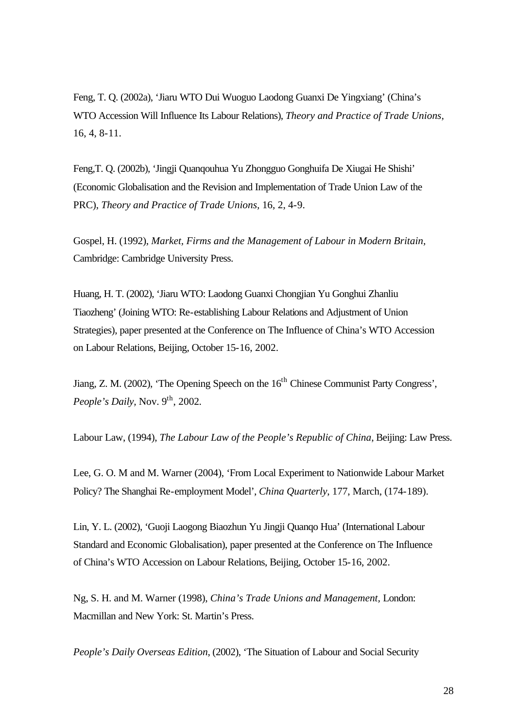Feng, T. Q. (2002a), 'Jiaru WTO Dui Wuoguo Laodong Guanxi De Yingxiang' (China's WTO Accession Will Influence Its Labour Relations), *Theory and Practice of Trade Unions,*  16, 4, 8-11.

Feng,T. Q. (2002b), 'Jingji Quanqouhua Yu Zhongguo Gonghuifa De Xiugai He Shishi' (Economic Globalisation and the Revision and Implementation of Trade Union Law of the PRC), *Theory and Practice of Trade Unions,* 16, 2, 4-9.

Gospel, H. (1992), *Market, Firms and the Management of Labour in Modern Britain,* Cambridge: Cambridge University Press.

Huang, H. T. (2002), 'Jiaru WTO: Laodong Guanxi Chongjian Yu Gonghui Zhanliu Tiaozheng' (Joining WTO: Re-establishing Labour Relations and Adjustment of Union Strategies), paper presented at the Conference on The Influence of China's WTO Accession on Labour Relations, Beijing, October 15-16, 2002.

Jiang, Z. M. (2002), 'The Opening Speech on the 16<sup>th</sup> Chinese Communist Party Congress', *People's Daily, Nov.* 9<sup>th</sup>, 2002.

Labour Law, (1994), *The Labour Law of the People's Republic of China*, Beijing: Law Press.

Lee, G. O. M and M. Warner (2004), 'From Local Experiment to Nationwide Labour Market Policy? The Shanghai Re-employment Model', *China Quarterly*, 177, March, (174-189).

Lin, Y. L. (2002), 'Guoji Laogong Biaozhun Yu Jingji Quanqo Hua' (International Labour Standard and Economic Globalisation), paper presented at the Conference on The Influence of China's WTO Accession on Labour Relations, Beijing, October 15-16, 2002.

Ng, S. H. and M. Warner (1998), *China's Trade Unions and Management,* London: Macmillan and New York: St. Martin's Press.

*People's Daily Overseas Edition*, (2002), 'The Situation of Labour and Social Security